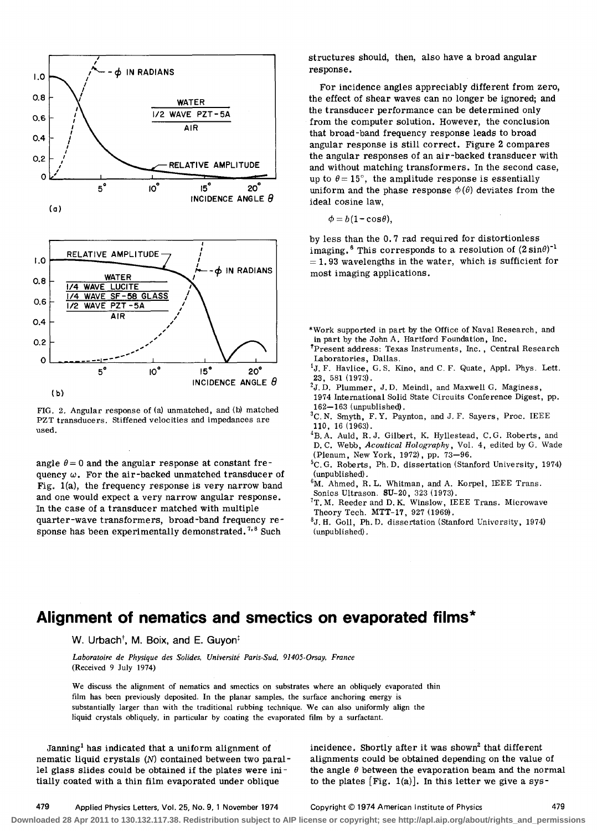

FIG. 2. Angular response of (a) unmatched, and (b) matched PZT transducers. Stiffened velocities and impedances are used.

angle  $\theta = 0$  and the angular response at constant frequency  $\omega$ . For the air-backed unmatched transducer of Fig. 1(a), the frequency response is very narrow band and one would expect a very narrow angular response. In the case of a transducer matched with multiple quarter-wave transformers, broad-band frequency response has been experimentally demonstrated.<sup>7,8</sup> Such

structures should, then, also have a broad angular response.

For incidence angles appreciably different from zero, the effect of shear waves can no longer be ignored; and the transducer performance can be determined only from the computer solution. However, the conclusion that broad-band frequency response leads to broad angular response is still correct. Figure 2 compares the angular responses of an air-backed transducer with and without matching transformers. In the second case, up to  $\theta = 15^{\circ}$ , the amplitude response is essentially uniform and the phase response  $\phi(\theta)$  deviates from the ideal cosine law,

 $\phi = b(1-\cos\theta)$ ,

by less than the 0.7 rad required for distortionless imaging.<sup>6</sup> This corresponds to a resolution of  $(2\sin\theta)^{-1}$  $= 1.93$  wavelengths in the water, which is sufficient for most imaging applications.

- \*Work supported in part by the Office of Naval Research, and in part by the John A. Hartford Foundation, Inc.
- tPresent address: Texas Instruments, Inc. , Central Research Laboratories, Dallas.
- <sup>1</sup>J. F. Havlice, G. S. Kino, and C. F. Quate, Appl. Phys. Lett. 23, 581 (1973).
- $^{2}$ J.D. Plummer, J.D. Meindl, and Maxwell G. Maginess, 1974 International Solid State Circuits Conference Digest, pp. 162-163 (unpublished).
- ${}^{3}$ C. N. Smyth, F. Y. Paynton, and J. F. Sayers, Proc. IEEE 110, 16 (1963).
- <sup>4</sup>B.A. Auld, R.J. Gilbert, K. Hyllestead, C.G. Roberts, and D. C. Webb, *Acoutical Holography,* Vol. 4, edited by G. Wade (Plenum, New York, 1972), pp. 73-96.
- 5C. G. Roberts, Ph. D. dissertation (Stanford University, 1974) (unpublished) .
- $6M.$  Ahmed, R. L. Whitman, and A. Korpel, IEEE Trans.
- Sonics Ultrason. SU-20, 323 (1973).
- $T$ T. M. Reeder and D. K. Winslow, IEEE Trans. Microwave Theory Tech. MTT-17, 927 (1969).
- 8J. H. Goll, Ph. D. dissertation (Stanford University, 1974) (unpublished) .

## **Alignment of nematics and smectics on evaporated films \***

W. Urbach<sup>†</sup>, M. Boix, and E. Guyon<sup> $\ddagger$ </sup>

*Laboratoire de Physique des Solides, Universite Paris·Sud, 91405·0rsay, France*  (Received 9 July 1974)

We discuss the alignment of nematics and smectics on substrates where an obliquely evaporated thin film has been previously deposited. In the planar samples, the surface anchoring energy is substantially larger than with the traditional rubbing technique. We can also uniformly align the liquid crystals obliquely, in particular by coating the evaporated film by a surfactant.

Janning<sup>1</sup> has indicated that a uniform alignment of nematic liquid crystals  $(N)$  contained between two parallel glass slides could be obtained if the plates were initially coated with a thin film evaporated under oblique

incidence. Shortly after it was shown<sup>2</sup> that different alignments could be obtained depending on the value of the angle *0* between the evaporation beam and the normal to the plates  $[Fig. 1(a)]$ . In this letter we give a sys-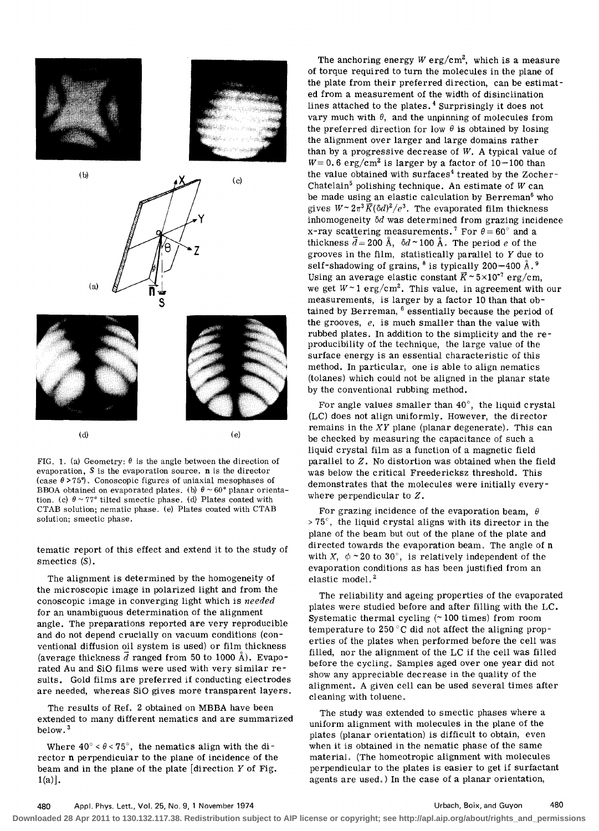

FIG. 1. (a) Geometry:  $\theta$  is the angle between the direction of evaporation, S is the evaporation source. n is the director (case *e* <sup>&</sup>gt;*75°).* Conoscopic figures of uniaxial mesophases of BBOA obtained on evaporated plates. (b)  $\theta \sim 60^{\circ}$  planar orientation. (c)  $\theta \sim 77^{\circ}$  tilted smectic phase. (d) Plates coated with CTAB solution; nematic phase. (e) Plates coated with CTAB solution; smectic phase.

tematic report of this effect and extend it to the study of smectics (S).

The alignment is determined by the homogeneity of the microscopic image in polarized light and from the conoscopic image in converging light which is needed for an unambiguous determination of the alignment angle. The preparations reported are very reproducible and do not depend crucially on vacuum conditions (conventional diffusion oil system is used) or film thickness (average thickness  $\bar{d}$  ranged from 50 to 1000 Å). Evaporated Au and SiO films were used with very similar results. Gold films are preferred if conducting electrodes are needed, whereas SiO gives more transparent layers.

The results of Ref. 2 obtained on MBBA have been extended to many different nematics and are summarized below. <sup>3</sup>

Where  $40^{\circ} < \theta < 75^{\circ}$ , the nematics align with the director n perpendicular to the plane of incidence of the beam and in the plane of the plate [direction *Y* of Fig.  $1(a)$ .

The anchoring energy  $W \text{ erg/cm}^2$ , which is a measure of torque required to turn the molecules in the plane of the plate from their preferred direction, can be estimated from a measurement of the width of disinclination lines attached to the plates. 4 Surprisingly it does not vary much with  $\theta$ , and the unpinning of molecules from the preferred direction for low  $\theta$  is obtained by losing the alignment over larger and large domains rather than by a progressive decrease of *W.* A typical value of  $W=0.6$  erg/cm<sup>2</sup> is larger by a factor of 10-100 than the value obtained with surfaces<sup>4</sup> treated by the Zocher-Chatelain5 pOlishing technique. An estimate of *W* can be made using an elastic calculation by Berreman $6$  who gives  $W \sim 2\pi^3 \bar{K} (\delta d)^2/e^3$ . The evaporated film thickness inhomogeneity  $\delta d$  was determined from grazing incidence x-ray scattering measurements.<sup>7</sup> For  $\theta = 60^{\circ}$  and a thickness  $\bar{d} = 200 \text{ Å}$ ,  $\delta d \sim 100 \text{ Å}$ . The period *e* of the grooves in the film, statistically parallel to *Y* due to self-shadowing of grains,  $8$  is typically 200-400  $\AA$ .  $9$ Using an average elastic constant  $\bar{K} \sim 5 \times 10^{-7}$  erg/cm, we get  $W \sim 1$  erg/cm<sup>2</sup>. This value, in agreement with our measurements, is larger by a factor 10 than that obtained by Berreman, <sup>6</sup> essentially because the period of the grooves, *e,* is much smaller than the value with rubbed plates. In addition to the simplicity and the reproducibility of the technique, the large value of the surface energy is an essential characteristic of this method. In particular, one is able to align nematics (tolanes) which could not be aligned in the planar state by the conventional rubbing method.

For angle values smaller than  $40^\circ$ , the liquid crystal (LC) does not align uniformly. However, the director remains in the  $XY$  plane (planar degenerate). This can be checked by measuring the capacitance of such a liquid crystal film as a function of a magnetic field parallel to Z. No distortion was obtained when the field was below the critical Freedericksz threshold. This demonstrates that the molecules were initially everywhere perpendicular to Z.

For grazing incidence of the evaporation beam,  $\theta$  $> 75^{\circ}$ , the liquid crystal aligns with its director in the plane of the beam but out of the plane of the plate and directed towards the evaporation beam, The angle of n with X,  $\phi \sim 20$  to 30°, is relatively independent of the evaporation conditions as has been justified from an elastic model.<sup>2</sup>

The reliability and ageing properties of the evaporated plates were studied before and after filling with the LC. Systematic thermal cycling  $($  ~ 100 times) from room temperature to 250 °C did not affect the aligning properties of the plates when performed before the cell was filled, nor the alignment of the LC if the cell was filled before the cycling, Samples aged over one year did not show any appreciable decrease in the quality of the alignment. A given cell can be used several times after cleaning with toluene,

The study was extended to smectic phases where a uniform alignment with molecules in the plane of the plates (planar orientation) is difficult to obtain, even when it is obtained in the nematic phase of the same material. (The homeotropic alignment with molecules perpendicular to the plates is easier to get if surfactant agents are used,) In the case of a planar orientation,